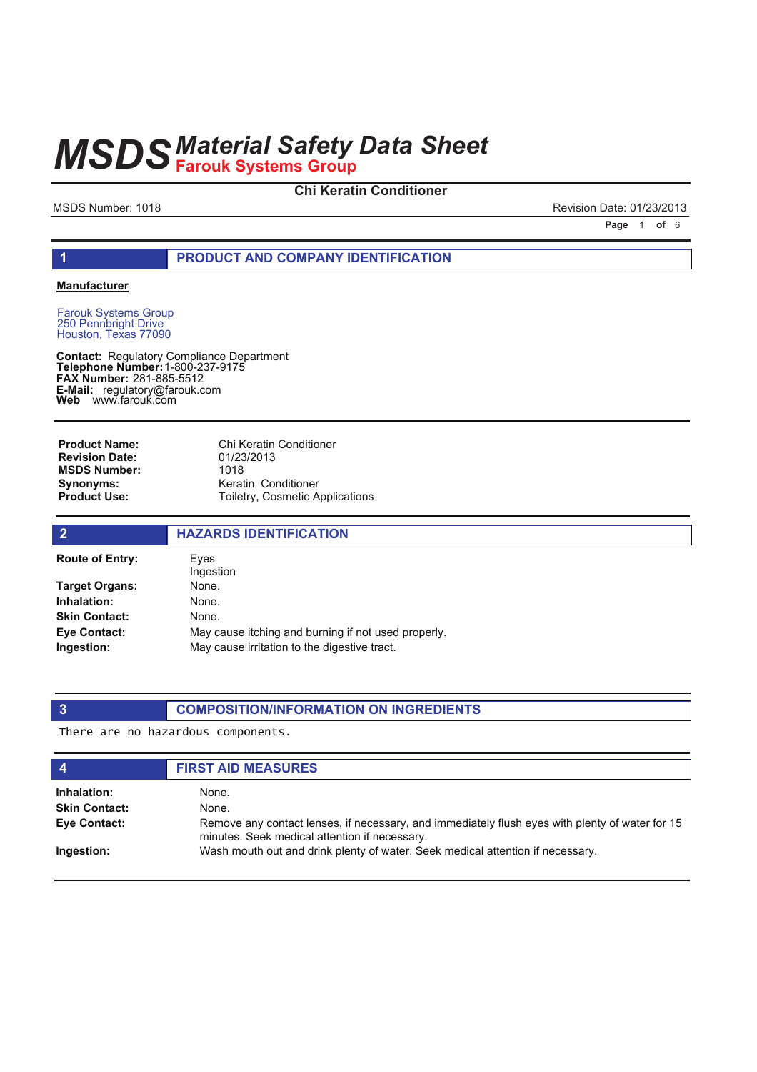### **Chi Keratin Conditioner**

MSDS Number: 1018 **Revision Date: 01/23/2013** Revision Date: 01/23/2013

**Page 1 of 6** 

### **1 PRODUCT AND COMPANY IDENTIFICATION**

#### **Manufacturer**

Farouk Systems Group 250 Pennbright Drive Houston, Texas 77090

**Contact: Telephone Number: FAX Number:** 281-885-5512 **E-Mail: Web** Regulatory Compliance Department 1-800-237-9175 regulatory@farouk.com www.farouk.com

Chi Keratin Conditioner 01/23/2013 1018 Keratin Conditioner Toiletry, Cosmetic Applications **Product Name: Revision Date: MSDS Number: Synonyms: Product Use:**

| $\overline{2}$         | <b>HAZARDS IDENTIFICATION</b>                       |
|------------------------|-----------------------------------------------------|
| <b>Route of Entry:</b> | Eves<br>Ingestion                                   |
| Target Organs:         | None.                                               |
| Inhalation:            | None.                                               |
| <b>Skin Contact:</b>   | None.                                               |
| Eye Contact:           | May cause itching and burning if not used properly. |
| Ingestion:             | May cause irritation to the digestive tract.        |
|                        |                                                     |

### **3 COMPOSITION/INFORMATION ON INGREDIENTS**

There are no hazardous components.

| $\boldsymbol{4}$     | <b>FIRST AID MEASURES</b>                                                                                                                        |
|----------------------|--------------------------------------------------------------------------------------------------------------------------------------------------|
| Inhalation:          | None.                                                                                                                                            |
| <b>Skin Contact:</b> | None.                                                                                                                                            |
| Eye Contact:         | Remove any contact lenses, if necessary, and immediately flush eyes with plenty of water for 15<br>minutes. Seek medical attention if necessary. |
| Ingestion:           | Wash mouth out and drink plenty of water. Seek medical attention if necessary.                                                                   |
|                      |                                                                                                                                                  |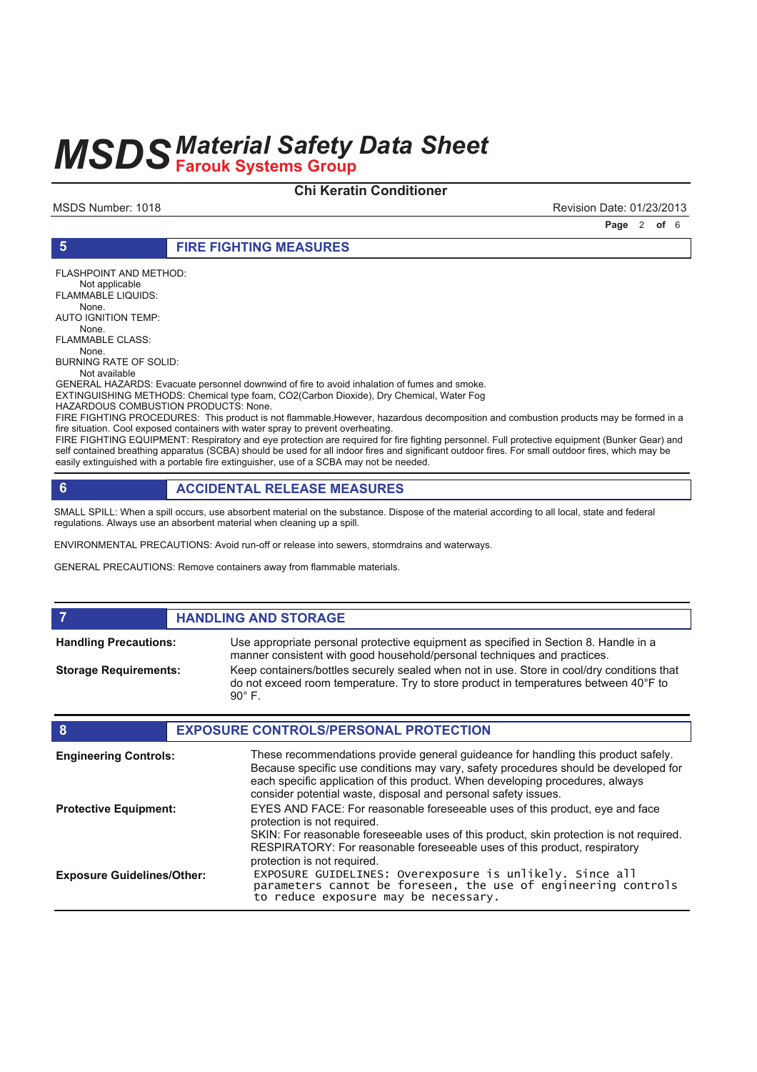### **Chi Keratin Conditioner**

MSDS Number: 1018 **Revision Date: 01/23/2013** 

**Page 2 of 6** 

#### **5 FIRE FIGHTING MEASURES**

FLASHPOINT AND METHOD: Not applicable FLAMMABLE LIQUIDS: None. AUTO IGNITION TEMP: None. FLAMMABLE CLASS: None. BURNING RATE OF SOLID: Not available GENERAL HAZARDS: Evacuate personnel downwind of fire to avoid inhalation of fumes and smoke. EXTINGUISHING METHODS: Chemical type foam, CO2(Carbon Dioxide), Dry Chemical, Water Fog HAZARDOUS COMBUSTION PRODUCTS: None. FIRE FIGHTING PROCEDURES: This product is not flammable.However, hazardous decomposition and combustion products may be formed in a fire situation. Cool exposed containers with water spray to prevent overheating. FIRE FIGHTING EQUIPMENT: Respiratory and eye protection are required for fire fighting personnel. Full protective equipment (Bunker Gear) and

self contained breathing apparatus (SCBA) should be used for all indoor fires and significant outdoor fires. For small outdoor fires, which may be easily extinguished with a portable fire extinguisher, use of a SCBA may not be needed.

### **6 ACCIDENTAL RELEASE MEASURES**

SMALL SPILL: When a spill occurs, use absorbent material on the substance. Dispose of the material according to all local, state and federal regulations. Always use an absorbent material when cleaning up a spill.

ENVIRONMENTAL PRECAUTIONS: Avoid run-off or release into sewers, stormdrains and waterways.

GENERAL PRECAUTIONS: Remove containers away from flammable materials.

#### **FIGURE 12 IN STORAGE**

**Handling Precautions:**

**Storage Requirements:**

Use appropriate personal protective equipment as specified in Section 8. Handle in a manner consistent with good household/personal techniques and practices. Keep containers/bottles securely sealed when not in use. Store in cool/dry conditions that do not exceed room temperature. Try to store product in temperatures between 40°F to 90° F.

| 8                                 | <b>EXPOSURE CONTROLS/PERSONAL PROTECTION</b>                                                                                                                                                                                                                                                                                |
|-----------------------------------|-----------------------------------------------------------------------------------------------------------------------------------------------------------------------------------------------------------------------------------------------------------------------------------------------------------------------------|
| <b>Engineering Controls:</b>      | These recommendations provide general guideance for handling this product safely.<br>Because specific use conditions may vary, safety procedures should be developed for<br>each specific application of this product. When developing procedures, always<br>consider potential waste, disposal and personal safety issues. |
| <b>Protective Equipment:</b>      | EYES AND FACE: For reasonable foreseeable uses of this product, eye and face<br>protection is not required.                                                                                                                                                                                                                 |
|                                   | SKIN: For reasonable foreseeable uses of this product, skin protection is not required.<br>RESPIRATORY: For reasonable foreseeable uses of this product, respiratory<br>protection is not required.                                                                                                                         |
| <b>Exposure Guidelines/Other:</b> | EXPOSURE GUIDELINES: Overexposure is unlikely. Since all<br>parameters cannot be foreseen, the use of engineering controls<br>to reduce exposure may be necessary.                                                                                                                                                          |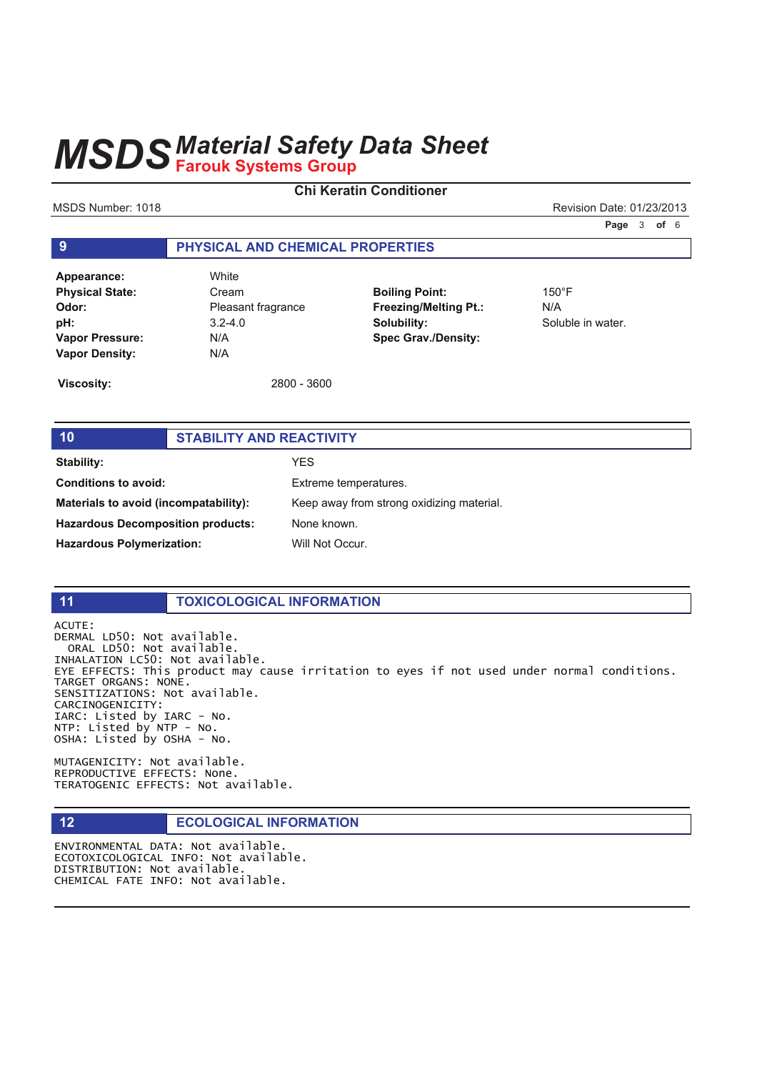### **Chi Keratin Conditioner**

MSDS Number: 1018 Revision Date: 01/23/2013

**Page 3 of 6** 

### **9 PHYSICAL AND CHEMICAL PROPERTIES**

**Appearance:** White Physical State: Cream **Odor:** Pleasant fragrance **pH:** 3.2-4.0 **Vapor Pressure:** N/A **Vapor Density:** N/A

**Boiling Point:** 150°F **Freezing/Melting Pt.:** N/A **Solubility:** Soluble in water. **Spec Grav./Density:**

**Viscosity:** 2800 - 3600

## **10 STABILITY AND REACTIVITY Stability:** YES **Conditions to avoid:** Extreme temperatures. **Materials to avoid (incompatability):** Keep away from strong oxidizing material. **Hazardous Decomposition products:** None known. Hazardous Polymerization: Will Not Occur.

### **11 TOXICOLOGICAL INFORMATION**

ACUTF: DERMAL LD50: Not available. ORAL LD50: Not available. INHALATION LC50: Not available. EYE EFFECTS: This product may cause irritation to eyes if not used under normal conditions. TARGET ORGANS: NONE. SENSITIZATIONS: Not available. CARCINOGENICITY: IARC: Listed by IARC - No.  $NTP:$  Listed by  $NTP - NO$ . OSHA: Listed by OSHA - No.

MUTAGENICITY: Not available. REPRODUCTIVE EFFECTS: None. TERATOGENIC EFFECTS: Not available.

### **12 ECOLOGICAL INFORMATION**

ENVIRONMENTAL DATA: Not available. ECOTOXICOLOGICAL INFO: Not available. DISTRIBUTION: Not available. CHEMICAL FATE INFO: Not available.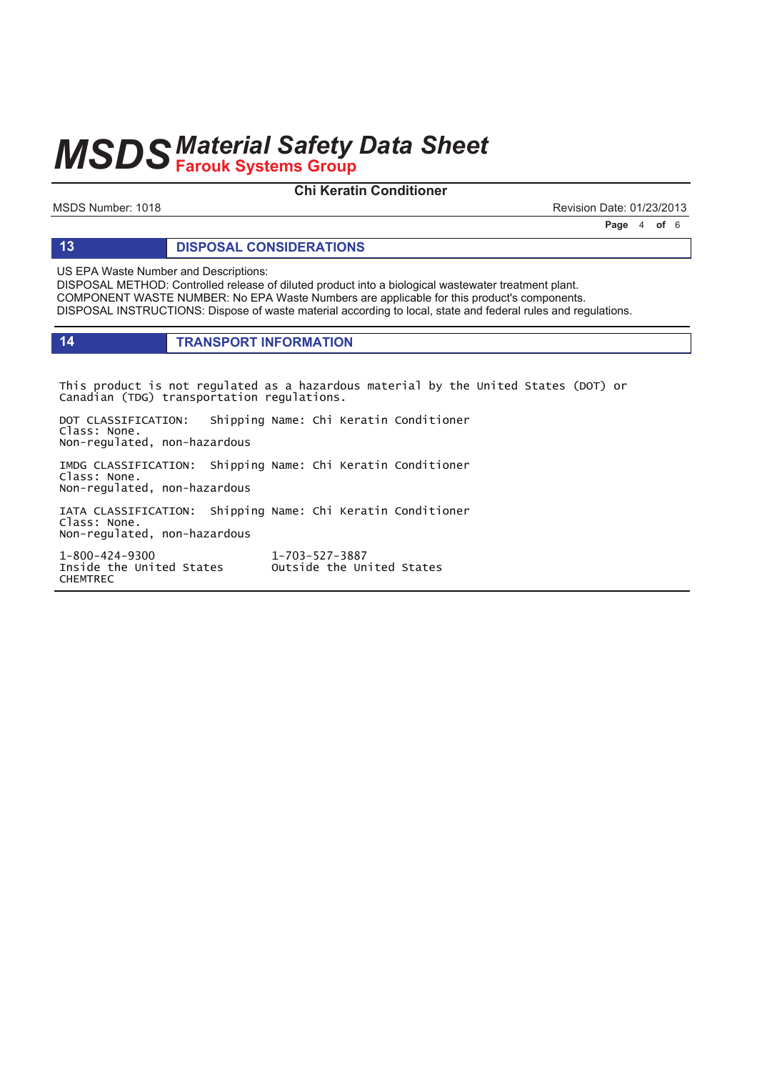### **Chi Keratin Conditioner**

MSDS Number: 1018 **Revision Date: 01/23/2013** Revision Date: 01/23/2013

**Page 4 of 6** 

#### **13 DISPOSAL CONSIDERATIONS**

US EPA Waste Number and Descriptions:

DISPOSAL METHOD: Controlled release of diluted product into a biological wastewater treatment plant. COMPONENT WASTE NUMBER: No EPA Waste Numbers are applicable for this product's components. DISPOSAL INSTRUCTIONS: Dispose of waste material according to local, state and federal rules and regulations.

#### **14 TRANSPORT INFORMATION**

This product is not regulated as a hazardous material by the United States (DOT) or Canadian (TDG) transportation regulations.

DOT CLASSIFICATION: Shipping Name: Chi Keratin Conditioner Class: None. Non-regulated, non-hazardous

IMDG CLASSIFICATION: Shipping Name: Chi Keratin Conditioner Class: None. Non-regulated, non-hazardous

IATA CLASSIFICATION: Shipping Name: Chi Keratin Conditioner Class: None. Non-regulated, non-hazardous

1-800-424-9300 1 Inside the United States outside the United States **CHEMTREC** 

1-703-527-3887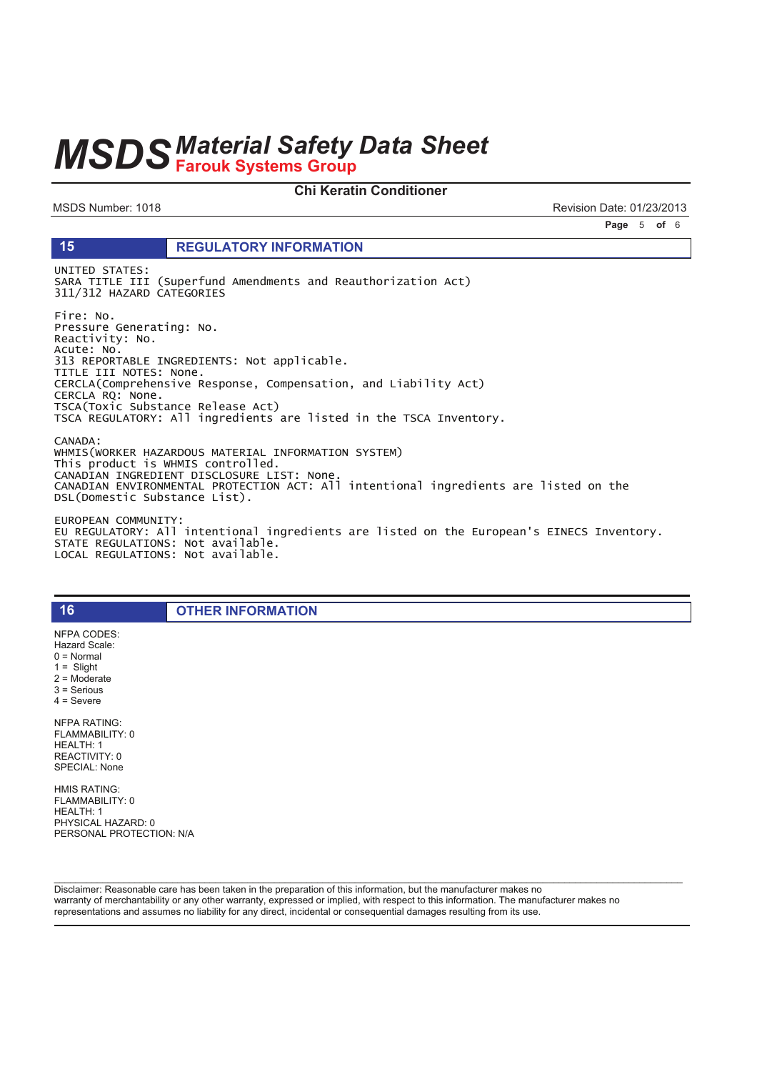#### **Chi Keratin Conditioner**

MSDS Number: 1018

15

Revision Date: 01/23/2013

Page 5 of 6

#### **REGULATORY INFORMATION**

UNITED STATES: SARA TITLE III (Superfund Amendments and Reauthorization Act) 311/312 HAZARD CATEGORIES

Fire: No. Pressure Generating: No. Reactivity: No. Acute: No.<br>313 REPORTABLE INGREDIENTS: Not applicable. TITLE III NOTES: None. CERCLA(Comprehensive Response, Compensation, and Liability Act) CERCLA RQ: None. TSCA(Toxic Substance Release Act) TSCA REGULATORY: All ingredients are listed in the TSCA Inventory. CANADA: WHMIS(WORKER HAZARDOUS MATERIAL INFORMATION SYSTEM) This product is WHMIS controlled.

CANADIAN INGREDIENT DISCLOSURE LIST: None. CANADIAN ENVIRONMENTAL PROTECTION ACT: All intentional ingredients are listed on the<br>DSL(Domestic Substance List). EUROPEAN COMMUNITY:

EU REGULATORY: All intentional ingredients are listed on the European's EINECS Inventory. STATE REGULATIONS: Not available.<br>LOCAL REGULATIONS: Not available.

**OTHER INFORMATION** 

NFPA CODES: Hazard Scale:  $0 = \text{Normal}$  $1 =$  Slight  $2 =$  Moderate  $3 =$  Serious  $4 =$  Severe **NFPA RATING:** FLAMMABILITY: 0 HEALTH: 1 REACTIVITY: 0 SPECIAL: None

16

**HMIS RATING:** FLAMMABILITY: 0 HEALTH: 1 PHYSICAL HAZARD: 0 PERSONAL PROTECTION: N/A

Disclaimer: Reasonable care has been taken in the preparation of this information, but the manufacturer makes no warranty of merchantability or any other warranty, expressed or implied, with respect to this information. The manufacturer makes no representations and assumes no liability for any direct, incidental or consequential damages resulting from its use.